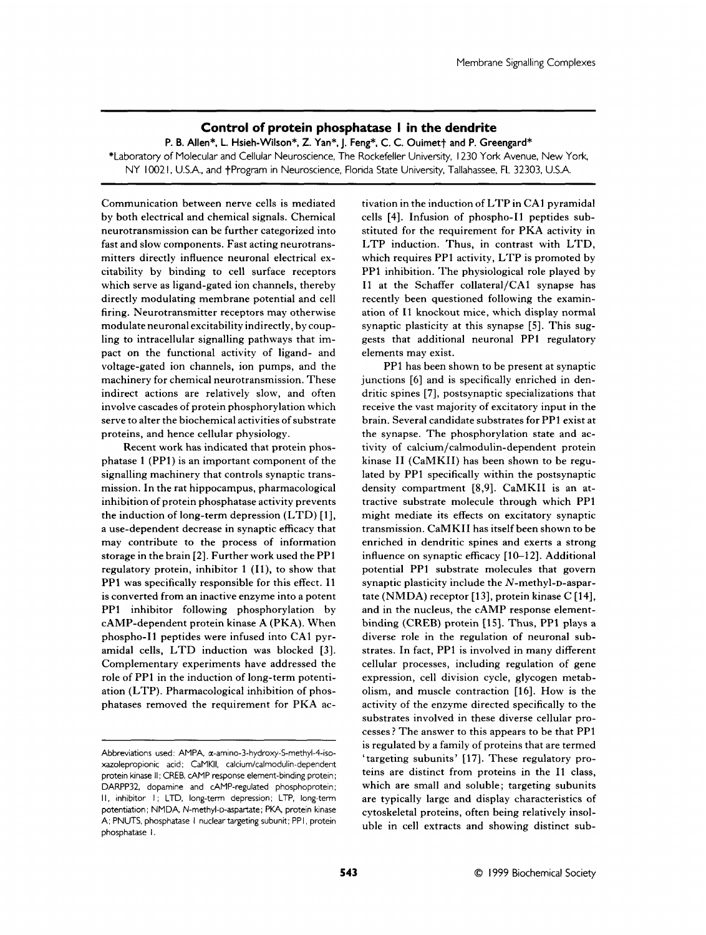## **Control of protein phosphatase I in the dendrite**

P. B. Allen\*, L. Hsieh-Wilson\*, Z. Yan\*, J. Feng\*, C. C. Ouimet<sup>+</sup> and P. Greengard\* \*Laboratory of Molecular and Cellular Neuroscience, The Rockefeller University, I230 York Avenue, New York, NY I002 I, U.S.A., and +Program in Neuroscience, Florida State University, Tallahassee, FL 32303, U.S.A.

Communication between nerve cells is mediated by both electrical and chemical signals. Chemical neurotransmission can be further categorized into fast and slow components. Fast acting neurotransmitters directly influence neuronal electrical excitability by binding to cell surface receptors which serve as ligand-gated ion channels, thereby directly modulating membrane potential and cell firing. Neurotransmitter receptors may otherwise ation of I1 knockout mice, which display normal modulate neuronal excitability indirectly, by coup- synaptic plasticity at this synapse [S]. This sugling to intracellular signalling pathways that im- gests that additional neuronal PP1 regulatory pact on the functional activity of ligand- and elements may exist. voltage-gated ion channels, ion pumps, and the PP1 has been shown to be present at synaptic machinery for chemical neurotransmission. These junctions [6] and is specifically enriched in denindirect actions are relatively slow, and often involve cascades of protein phosphorylation which serve to alter the biochemical activities of substrate proteins, and hence cellular physiology.

Recent work has indicated that protein phosphatase 1 (PPl) is an important component of the signalling machinery that controls synaptic transmission. In the rat hippocampus, pharmacological inhibition of protein phosphatase activity prevents the induction of long-term depression (LTD) [l], a use-dependent decrease in synaptic efficacy that may contribute to the process of information storage in the brain [2]. Further work used the PPl regulatory protein, inhibitor 1 (Il), to show that PPl was specifically responsible for this effect. I1 is converted from an inactive enzyme into a potent PPl inhibitor following phosphorylation by CAMP-dependent protein kinase A (PKA). When phospho-I1 peptides were infused into CAI pyramidal cells, LTD induction was blocked [3]. Complementary experiments have addressed the role of PPl in the induction of long-term potentiation (LTP). Pharmacological inhibition of phosphatases removed the requirement for PKA activation in the induction of LTP in CA1 pyramidal cells [4]. Infusion of phospho-I1 peptides substituted for the requirement for PKA activity in LTP induction. Thus, in contrast with LTD, which requires PP1 activity, LTP is promoted by PP1 inhibition. The physiological role played by I1 at the Schaffer collateral/CAl synapse has recently been questioned following the examin-

dritic spines *[7],* postsynaptic specializations that receive the vast majority of excitatory input in the brain. Several candidate substrates for PP1 exist at the synapse. The phosphorylation state and activity of calcium/calmodulin-dependent protein kinase I1 (CaMKII) has been shown to be regulated by PPl specifically within the postsynaptic density compartment **[8,9].** CaMKII is an attractive substrate molecule through which PP1 might mediate its effects on excitatory synaptic transmission. CaMKII has itself been shown to be enriched in dendritic spines and exerts a strong influence on synaptic efficacy [10-12]. Additional potential PP1 substrate molecules that govern synaptic plasticity include the N-methyl-D-aspartate (NMDA) receptor [13], protein kinase C **[14],**  and in the nucleus, the cAMP response elementbinding (CREB) protein [15]. Thus, PP1 plays a diverse role in the regulation of neuronal substrates. In fact, PPl is involved in many different cellular processes, including regulation of gene expression, cell division cycle, glycogen metabolism, and muscle contraction [16]. How is the activity of the enzyme directed specifically to the substrates involved in these diverse cellular processes ? The answer to this appears to be that PPl is regulated by a family of proteins that are termed Abbreviations used: AMPA, a-amino-3-hydroxy-S-methyl-4-iso-<br>xazolepropionic acid: CaMKII, calcium/calmodulin-dependent targeting subunits' [17]. These regulatory pro- $R$  cytoskeletal proteins, often being relatively insoluble in cell extracts and showing distinct sub-

protein kinase II; CREB, cAMP response element-binding protein; teins are distinct from proteins in the I1 class, DARPP32, dopamine and cAMP-regulated phosphoprotein; which are small and soluble; targeting subunits II, inhibitor I; LTD, long-term depression; LTP, long-term are typically large and display characteristics of potentiation; NMDA, N-methyl-D-aspartate; PKA, protein kinase A; PNUTS, phosphatase I nuclear targeting subunit; PPI, protein phosphatase 1.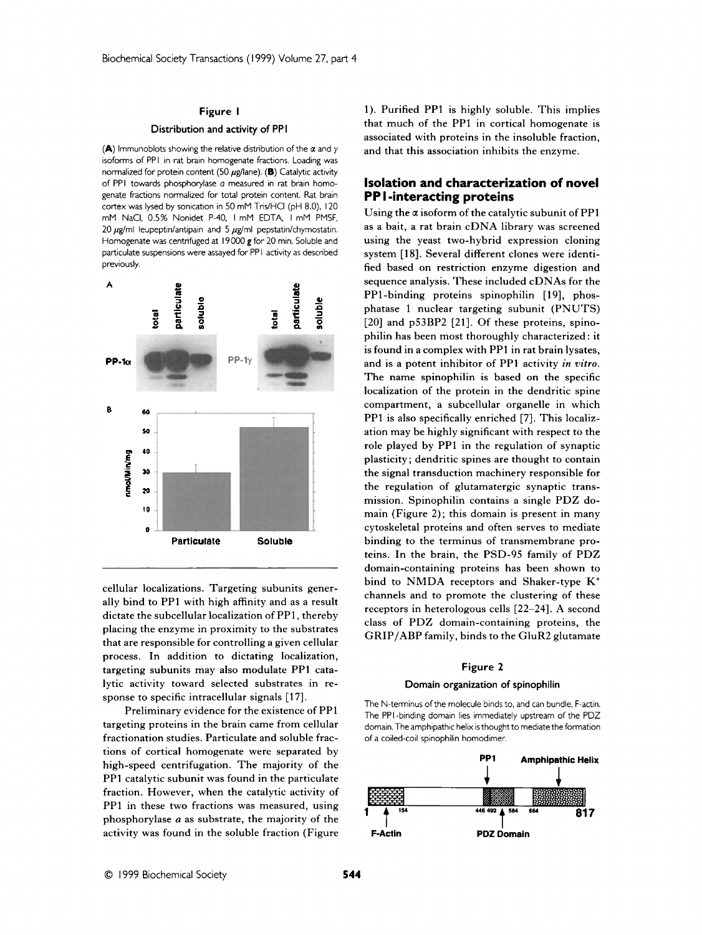### **Figure I**

### **Distribution and activity of PP I**

**(A)** lrnmunoblots showing the relative distribution of the *a* and *<sup>y</sup>* isoforms of PPI in rat brain homogenate fractions. Loading was normalized for protein content (50  $\mu$ g/lane). **(B)** Catalytic activity of PPI towards phosphorylase a measured in rat brain homogenate fractions normalized for total protein content. Rat brain cortex was lysed by sonication in 50 mM Tris/HCI (pH 8.0), 120 rnM NaCI, 0.5% Nonidet P-40, I mM EDTA, I mM PMSF, 20  $\mu$ g/ml leupeptin/antipain and 5  $\mu$ g/ml pepstatin/chymostatin. Hornogenate was centrifuged at I9 000 **g** for 20 rnin. Soluble and particulate suspensions were assayed for PP1 activity as described previously.



cellular localizations. Targeting subunits generally bind to PP1 with high affinity and as a result dictate the subcellular localization of PP1, thereby placing the enzyme in proximity to the substrates that are responsible for controlling a given cellular process. In addition to dictating localization, targeting subunits may also modulate PP1 catalytic activity toward selected substrates in response to specific intracellular signals [17].

Preliminary evidence for the existence of PP1 targeting proteins in the brain came from cellular fractionation studies. Particulate and soluble fractions of cortical homogenate were separated by high-speed centrifugation. The majority of the PP1 catalytic subunit was found in the particulate fraction. However, when the catalytic activity of PPl in these two fractions was measured, using phosphorylase a as substrate, the majority of the activity was found in the soluble fraction (Figure

1). Purified PPl is highly soluble. This implies that much of the PP1 in cortical homogenate is associated with proteins in the insoluble fraction, and that this association inhibits the enzyme.

# **Isolation and characterization of novel PP I -interacting proteins**

Using the *a* isoform of the catalytic subunit of PP1 as a bait, a rat brain cDNA library was screened using the yeast two-hybrid expression cloning system [18]. Several different clones were identified based on restriction enzyme digestion and sequence analysis. These included cDNAs for the PP1-binding proteins spinophilin [19], phosphatase 1 nuclear targeting subunit (PNUTS) [20] and p53BP2 [21]. Of these proteins, spinophilin has been most thoroughly characterized: it is found in a complex with PP1 in rat brain lysates, and is a potent inhibitor of PPl activity *in vitro.*  The name spinophilin is based on the specific localization of the protein in the dendritic spine compartment, a subcellular organelle in which PPl is also specifically enriched [7]. This localization may be highly significant with respect to the role played by PPl in the regulation of synaptic plasticity ; dendritic spines are thought to contain the signal transduction machinery responsible for the regulation of glutamatergic synaptic transmission. Spinophilin contains a single PDZ domain (Figure 2); this domain is present in many cytoskeletal proteins and often serves to mediate binding to the terminus of transmembrane proteins. In the brain, the PSD-95 family of PDZ domain-containing proteins has been shown to bind to NMDA receptors and Shaker-type **K+**  channels and to promote the clustering of these receptors in heterologous cells [22-24]. A second class of PDZ domain-containing proteins, the GRIP/ABP family, binds to the GluR2 glutamate

#### **Figure 2**

#### **Domain organization of spinophilin**

The N-terminus of the molecule binds to, and can bundle, F-actin. The PPI-binding domain lies immediately upstream of the PDZ domain. The amphipathic helix is thought to mediate the formation of a coiled-coil spinophilin homodimer.

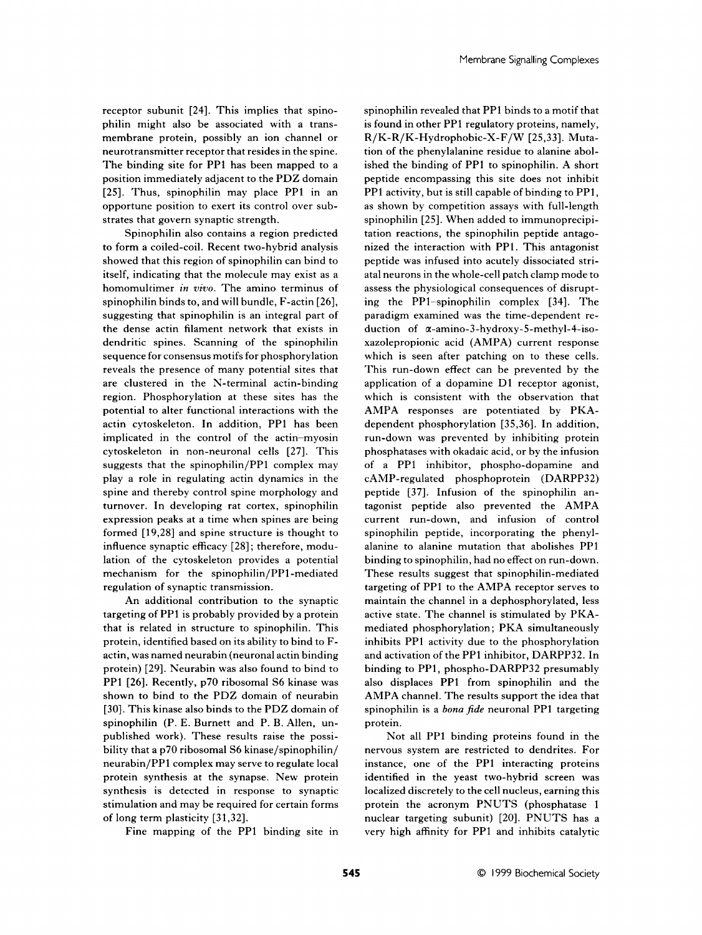receptor subunit [24]. This implies that spinophilin might also be associated with a transmembrane protein, possibly an ion channel or neurotransmitter receptor that resides in the spine. The binding site for PPl has been mapped to a position immediately adjacent to the PDZ domain [25]. Thus, spinophilin may place PP1 in an opportune position to exert its control over substrates that govern synaptic strength.

Spinophilin also contains a region predicted to form **a** coiled-coil. Recent two-hybrid analysis showed that this region of spinophilin can bind to itself, indicating that the molecule may exist as a homomultimer *in vivo.* The amino terminus of spinophilin binds to, and will bundle, F-actin [26], suggesting that spinophilin is an integral part of the dense actin filament network that exists in dendritic spines. Scanning of the spinophilin sequence for consensus motifs for phosphorylation reveals the presence of many potential sites that are clustered in the N-terminal actin-binding region. Phosphorylation at these sites has the potential to alter functional interactions with the actin cytoskeleton. In addition, PP1 has been implicated in the control of the actin-myosin cytoskeleton in non-neuronal cells [27]. This suggests that the spinophilin/PPl complex may play a role in regulating actin dynamics in the spine and thereby control spine morphology and turnover. In developing rat cortex, spinophilin expression peaks at a time when spines are being formed [19,28] and spine structure is thought to influence synaptic efficacy [28] ; therefore, modulation of the cytoskeleton provides a potential mechanism for the **spinophilin/PPl-mediated**  regulation of synaptic transmission.

An additional contribution to the synaptic targeting of PP1 is probably provided by a protein that is related in structure to spinophilin. This protein, identified based on its ability to bind to Factin, was named neurabin (neuronal actin binding protein) [29]. Neurabin was also found to bind to PP1 [26]. Recently, p70 ribosomal S6 kinase was shown to bind to the PDZ domain of neurabin [30]. This kinase also binds to the PDZ domain of spinophilin (P. E. Burnett and P. B. Allen, unpublished work). These results raise the possibility that a p70 ribosomal S6 kinase/spinophilin/ neurabin/PPl complex may serve to regulate local protein synthesis at the synapse. New protein synthesis is detected in response to synaptic stimulation and may be required for certain forms of long term plasticity [31,32].

Fine mapping of the PPl binding site in

spinophilin revealed that PPl binds to a motif that is found in other PP1 regulatory proteins, namely, **R/** K- R/ K-Hydrophobic-X- F/W [ 25,3 31. Mutation of the phenylalanine residue to alanine abolished the binding of PPl to spinophilin. A short peptide encompassing this site does not inhibit PP1 activity, but is still capable of binding to PPl, as shown by competition assays with full-length spinophilin [25]. When added to immunoprecipitation reactions, the spinophilin peptide antagonized the interaction with PP1. This antagonist peptide was infused into acutely dissociated striatal neurons in the whole-cell patch clamp mode to assess the physiological consequences of disrupting the PP1-spinophilin complex [34]. The paradigm examined was the time-dependent reduction of  $\alpha$ -amino-3-hydroxy-5-methyl-4-isoxazolepropionic acid (AMPA) current response which is seen after patching on to these cells. This run-down effect can be prevented by the application of a dopamine D1 receptor agonist, which is consistent with the observation that AMPA responses are potentiated by PKAdependent phosphorylation [35,36]. In addition, run-down was prevented by inhibiting protein phosphatases with okadaic acid, **or** by the infusion of a PP1 inhibitor, phospho-dopamine and CAMP-regulated phosphoprotein (DARPP32) peptide [37]. Infusion of the spinophilin antagonist peptide also prevented the AMPA current run-down, and infusion of control spinophilin peptide, incorporating the phenylalanine to alanine mutation that abolishes PPl binding to spinophilin, had no effect on run-down. These results suggest that spinophilin-mediated targeting of PP1 to the AMPA receptor serves to maintain the channel in a dephosphorylated, less active state. The channel is stimulated by PKAmediated phosphorylation; PKA simultaneously inhibits PP1 activity due to the phosphorylation and activation of the PP1 inhibitor, DARPP32. In binding to PP1, phospho-DARPP32 presumably also displaces PPl from spinophilin and the AMPA channel. The results support the idea that spinophilin is a *bona fide* neuronal PPl targeting protein.

Not all PP1 binding proteins found in the nervous system are restricted to dendrites. For instance, one of the PP1 interacting proteins identified in the yeast two-hybrid screen was localized discretely to the cell nucleus, earning this protein the acronym PNUTS (phosphatase 1 nuclear targeting subunit) [20]. PNUTS has a very high affinity for PP1 and inhibits catalytic